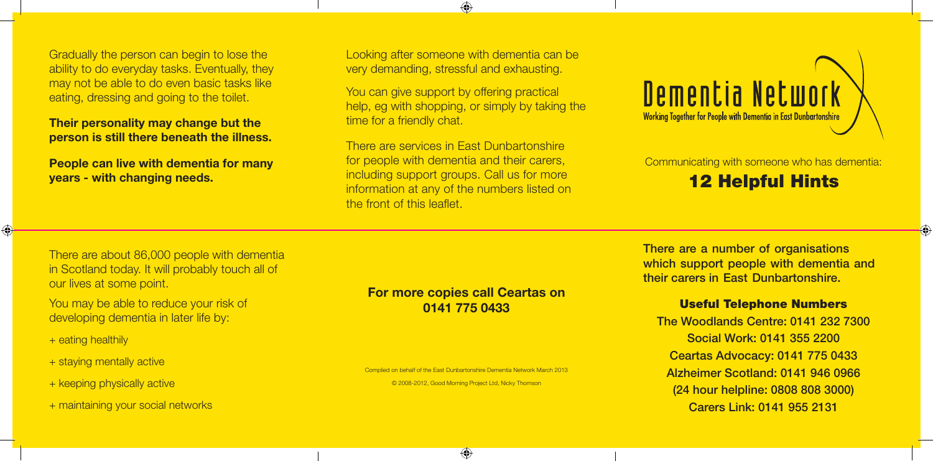Gradually the person can begin to lose the ability to do everyday tasks. Eventually, they may not be able to do even basic tasks like eating, dressing and going to the toilet.

**Their personality may change but the person is still there beneath the illness.**

**People can live with dementia for many years - with changing needs.**

Looking after someone with dementia can be very demanding, stressful and exhausting.

⊕

You can give support by offering practical help, eg with shopping, or simply by taking the time for a friendly chat.

There are services in East Dunbartonshire for people with dementia and their carers, including support groups. Call us for more information at any of the numbers listed on the front of this leaflet.



Communicating with someone who has dementia:

## 12 Helpful Hints

There are about 86,000 people with dementia in Scotland today. It will probably touch all of our lives at some point.

You may be able to reduce your risk of developing dementia in later life by:

+ eating healthily

 $\bigcirc$ 

- + staying mentally active
- + keeping physically active
- + maintaining your social networks

### **For more copies call Ceartas on 0141 775 0433**

Complied on behalf of the East Dunbartonshire Dementia Network March 2013 © 2008-2012, Good Morning Project Ltd, Nicky Thomson

 $\bigoplus$ 

There are a number of organisations which support people with dementia and their carers in East Dunbartonshire.

#### Useful Telephone Numbers

The Woodlands Centre: 0141 232 7300 Social Work: 0141 355 2200 Ceartas Advocacy: 0141 775 0433 Alzheimer Scotland: 0141 946 0966 (24 hour helpline: 0808 808 3000) Carers Link: 0141 955 2131